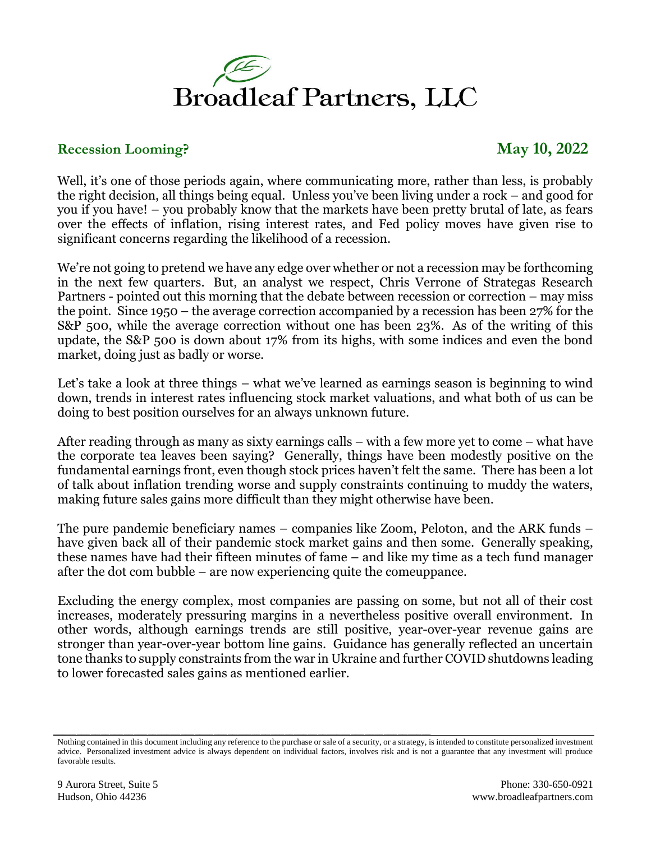

## **Recession Looming? May 10, 2022**

Well, it's one of those periods again, where communicating more, rather than less, is probably the right decision, all things being equal. Unless you've been living under a rock – and good for you if you have! – you probably know that the markets have been pretty brutal of late, as fears over the effects of inflation, rising interest rates, and Fed policy moves have given rise to significant concerns regarding the likelihood of a recession.

We're not going to pretend we have any edge over whether or not a recession may be forthcoming in the next few quarters. But, an analyst we respect, Chris Verrone of Strategas Research Partners - pointed out this morning that the debate between recession or correction – may miss the point. Since 1950 – the average correction accompanied by a recession has been 27% for the S&P 500, while the average correction without one has been 23%. As of the writing of this update, the S&P 500 is down about 17% from its highs, with some indices and even the bond market, doing just as badly or worse.

Let's take a look at three things – what we've learned as earnings season is beginning to wind down, trends in interest rates influencing stock market valuations, and what both of us can be doing to best position ourselves for an always unknown future.

After reading through as many as sixty earnings calls – with a few more yet to come – what have the corporate tea leaves been saying? Generally, things have been modestly positive on the fundamental earnings front, even though stock prices haven't felt the same. There has been a lot of talk about inflation trending worse and supply constraints continuing to muddy the waters, making future sales gains more difficult than they might otherwise have been.

The pure pandemic beneficiary names – companies like Zoom, Peloton, and the ARK funds – have given back all of their pandemic stock market gains and then some. Generally speaking, these names have had their fifteen minutes of fame – and like my time as a tech fund manager after the dot com bubble – are now experiencing quite the comeuppance.

Excluding the energy complex, most companies are passing on some, but not all of their cost increases, moderately pressuring margins in a nevertheless positive overall environment. In other words, although earnings trends are still positive, year-over-year revenue gains are stronger than year-over-year bottom line gains. Guidance has generally reflected an uncertain tone thanks to supply constraints from the war in Ukraine and further COVID shutdowns leading to lower forecasted sales gains as mentioned earlier.

Nothing contained in this document including any reference to the purchase or sale of a security, or a strategy, is intended to constitute personalized investment advice. Personalized investment advice is always dependent on individual factors, involves risk and is not a guarantee that any investment will produce favorable results.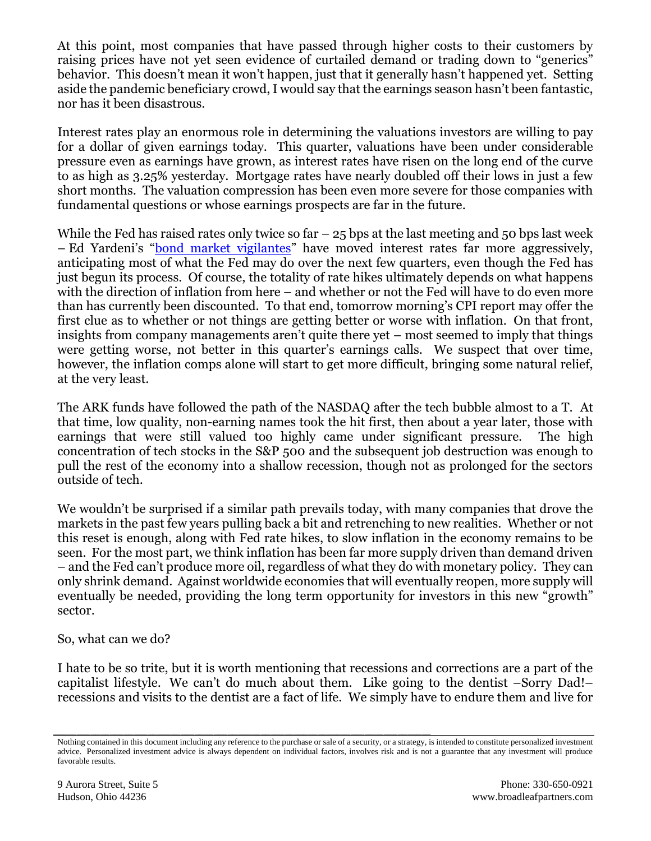At this point, most companies that have passed through higher costs to their customers by raising prices have not yet seen evidence of curtailed demand or trading down to "generics" behavior. This doesn't mean it won't happen, just that it generally hasn't happened yet. Setting aside the pandemic beneficiary crowd, I would say that the earnings season hasn't been fantastic, nor has it been disastrous.

Interest rates play an enormous role in determining the valuations investors are willing to pay for a dollar of given earnings today. This quarter, valuations have been under considerable pressure even as earnings have grown, as interest rates have risen on the long end of the curve to as high as 3.25% yesterday. Mortgage rates have nearly doubled off their lows in just a few short months. The valuation compression has been even more severe for those companies with fundamental questions or whose earnings prospects are far in the future.

While the Fed has raised rates only twice so far  $-25$  bps at the last meeting and 50 bps last week – Ed Yardeni's "[bond market vigilantes](https://www.nytimes.com/2021/03/26/business/bond-vigilantes-are-signaling-that-fiscal-deficits-may-be-getting-out-of-hand.html)" have moved interest rates far more aggressively, anticipating most of what the Fed may do over the next few quarters, even though the Fed has just begun its process. Of course, the totality of rate hikes ultimately depends on what happens with the direction of inflation from here – and whether or not the Fed will have to do even more than has currently been discounted. To that end, tomorrow morning's CPI report may offer the first clue as to whether or not things are getting better or worse with inflation. On that front, insights from company managements aren't quite there yet – most seemed to imply that things were getting worse, not better in this quarter's earnings calls. We suspect that over time, however, the inflation comps alone will start to get more difficult, bringing some natural relief, at the very least.

The ARK funds have followed the path of the NASDAQ after the tech bubble almost to a T. At that time, low quality, non-earning names took the hit first, then about a year later, those with earnings that were still valued too highly came under significant pressure. The high concentration of tech stocks in the S&P 500 and the subsequent job destruction was enough to pull the rest of the economy into a shallow recession, though not as prolonged for the sectors outside of tech.

We wouldn't be surprised if a similar path prevails today, with many companies that drove the markets in the past few years pulling back a bit and retrenching to new realities. Whether or not this reset is enough, along with Fed rate hikes, to slow inflation in the economy remains to be seen. For the most part, we think inflation has been far more supply driven than demand driven – and the Fed can't produce more oil, regardless of what they do with monetary policy. They can only shrink demand. Against worldwide economies that will eventually reopen, more supply will eventually be needed, providing the long term opportunity for investors in this new "growth" sector.

So, what can we do?

I hate to be so trite, but it is worth mentioning that recessions and corrections are a part of the capitalist lifestyle. We can't do much about them. Like going to the dentist –Sorry Dad!– recessions and visits to the dentist are a fact of life. We simply have to endure them and live for

Nothing contained in this document including any reference to the purchase or sale of a security, or a strategy, is intended to constitute personalized investment advice. Personalized investment advice is always dependent on individual factors, involves risk and is not a guarantee that any investment will produce favorable results.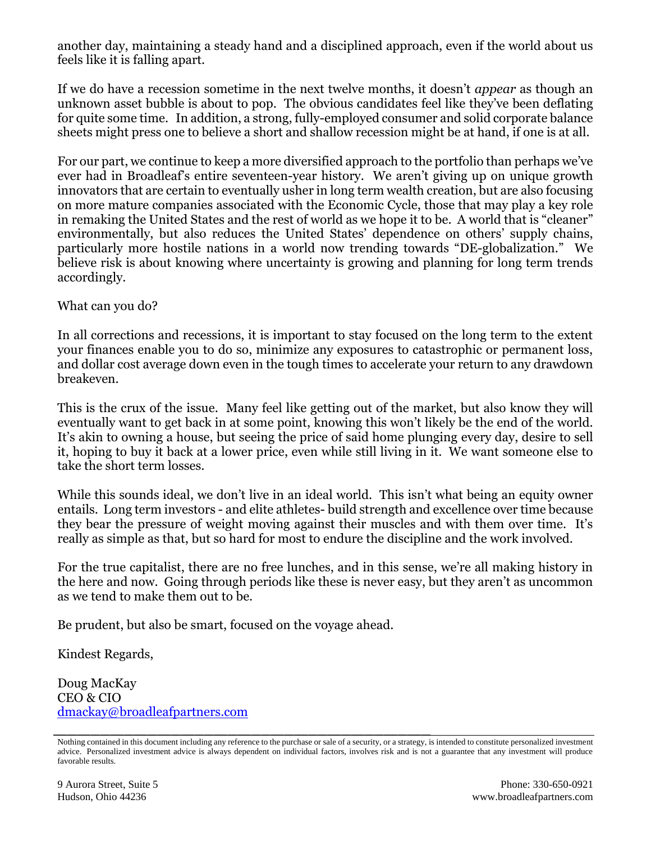another day, maintaining a steady hand and a disciplined approach, even if the world about us feels like it is falling apart.

If we do have a recession sometime in the next twelve months, it doesn't *appear* as though an unknown asset bubble is about to pop. The obvious candidates feel like they've been deflating for quite some time. In addition, a strong, fully-employed consumer and solid corporate balance sheets might press one to believe a short and shallow recession might be at hand, if one is at all.

For our part, we continue to keep a more diversified approach to the portfolio than perhaps we've ever had in Broadleaf's entire seventeen-year history. We aren't giving up on unique growth innovators that are certain to eventually usher in long term wealth creation, but are also focusing on more mature companies associated with the Economic Cycle, those that may play a key role in remaking the United States and the rest of world as we hope it to be. A world that is "cleaner" environmentally, but also reduces the United States' dependence on others' supply chains, particularly more hostile nations in a world now trending towards "DE-globalization." We believe risk is about knowing where uncertainty is growing and planning for long term trends accordingly.

What can you do?

In all corrections and recessions, it is important to stay focused on the long term to the extent your finances enable you to do so, minimize any exposures to catastrophic or permanent loss, and dollar cost average down even in the tough times to accelerate your return to any drawdown breakeven.

This is the crux of the issue. Many feel like getting out of the market, but also know they will eventually want to get back in at some point, knowing this won't likely be the end of the world. It's akin to owning a house, but seeing the price of said home plunging every day, desire to sell it, hoping to buy it back at a lower price, even while still living in it. We want someone else to take the short term losses.

While this sounds ideal, we don't live in an ideal world. This isn't what being an equity owner entails. Long term investors - and elite athletes- build strength and excellence over time because they bear the pressure of weight moving against their muscles and with them over time. It's really as simple as that, but so hard for most to endure the discipline and the work involved.

For the true capitalist, there are no free lunches, and in this sense, we're all making history in the here and now. Going through periods like these is never easy, but they aren't as uncommon as we tend to make them out to be.

Be prudent, but also be smart, focused on the voyage ahead.

Kindest Regards,

Doug MacKay CEO & CIO [dmackay@broadleafpartners.com](mailto:dmackay@broadleafpartners.com)

Nothing contained in this document including any reference to the purchase or sale of a security, or a strategy, is intended to constitute personalized investment advice. Personalized investment advice is always dependent on individual factors, involves risk and is not a guarantee that any investment will produce favorable results.